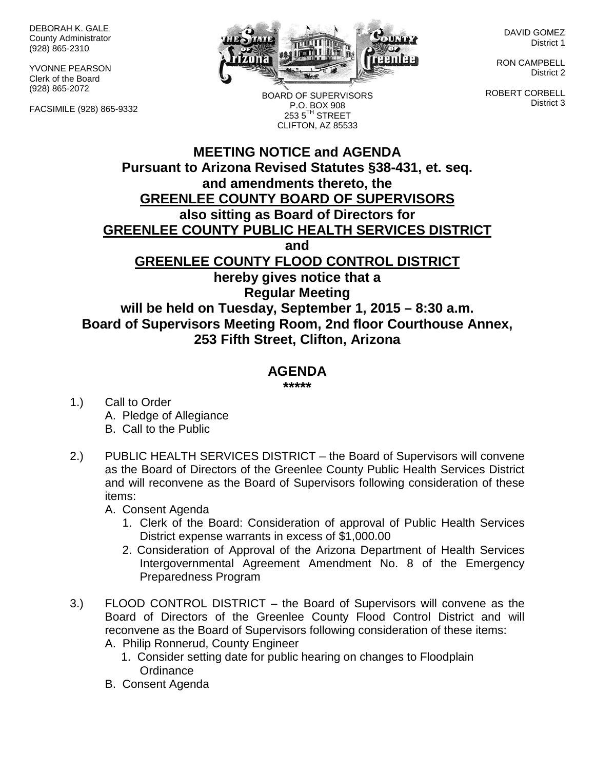DEBORAH K. GALE County Administrator (928) 865-2310

YVONNE PEARSON Clerk of the Board (928) 865-2072

FACSIMILE (928) 865-9332



BOARD OF SUPERVISORS P.O. BOX 908  $2535^{\text{TH}}$  STREET CLIFTON, AZ 85533

DAVID GOMEZ District 1

RON CAMPBELL District 2

ROBERT CORBELL District 3

## **MEETING NOTICE and AGENDA Pursuant to Arizona Revised Statutes §38-431, et. seq. and amendments thereto, the GREENLEE COUNTY BOARD OF SUPERVISORS also sitting as Board of Directors for GREENLEE COUNTY PUBLIC HEALTH SERVICES DISTRICT and GREENLEE COUNTY FLOOD CONTROL DISTRICT hereby gives notice that a Regular Meeting will be held on Tuesday, September 1, 2015 – 8:30 a.m. Board of Supervisors Meeting Room, 2nd floor Courthouse Annex, 253 Fifth Street, Clifton, Arizona**

## **AGENDA**

**\*\*\*\*\***

- 1.) Call to Order A. Pledge of Allegiance B. Call to the Public
- 2.) PUBLIC HEALTH SERVICES DISTRICT the Board of Supervisors will convene as the Board of Directors of the Greenlee County Public Health Services District and will reconvene as the Board of Supervisors following consideration of these items:

A. Consent Agenda

- 1. Clerk of the Board: Consideration of approval of Public Health Services District expense warrants in excess of \$1,000.00
- 2. Consideration of Approval of the Arizona Department of Health Services Intergovernmental Agreement Amendment No. 8 of the Emergency Preparedness Program
- 3.) FLOOD CONTROL DISTRICT the Board of Supervisors will convene as the Board of Directors of the Greenlee County Flood Control District and will reconvene as the Board of Supervisors following consideration of these items:
	- A. Philip Ronnerud, County Engineer
		- 1. Consider setting date for public hearing on changes to Floodplain **Ordinance**
	- B. Consent Agenda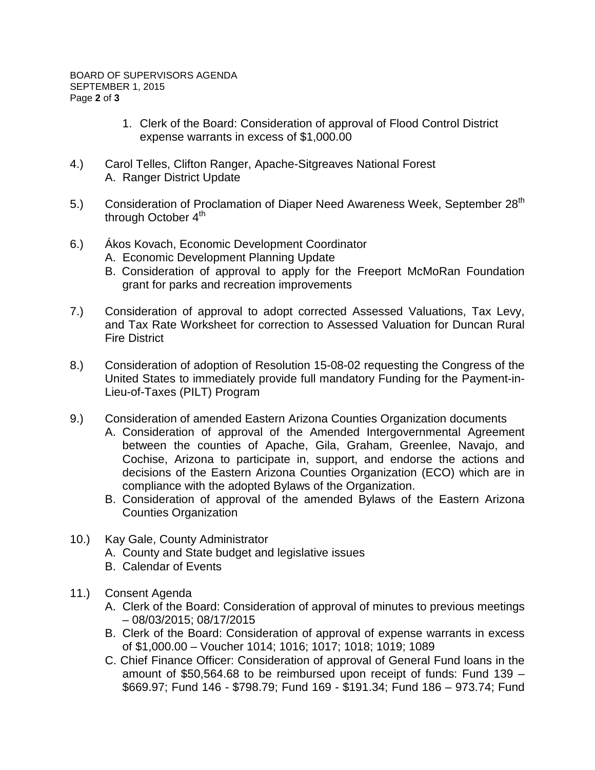- 1. Clerk of the Board: Consideration of approval of Flood Control District expense warrants in excess of \$1,000.00
- 4.) Carol Telles, Clifton Ranger, Apache-Sitgreaves National Forest A. Ranger District Update
- 5.) Consideration of Proclamation of Diaper Need Awareness Week, September 28<sup>th</sup> through October  $4<sup>th</sup>$
- 6.) Ákos Kovach, Economic Development Coordinator
	- A. Economic Development Planning Update
	- B. Consideration of approval to apply for the Freeport McMoRan Foundation grant for parks and recreation improvements
- 7.) Consideration of approval to adopt corrected Assessed Valuations, Tax Levy, and Tax Rate Worksheet for correction to Assessed Valuation for Duncan Rural Fire District
- 8.) Consideration of adoption of Resolution 15-08-02 requesting the Congress of the United States to immediately provide full mandatory Funding for the Payment-in-Lieu-of-Taxes (PILT) Program
- 9.) Consideration of amended Eastern Arizona Counties Organization documents
	- A. Consideration of approval of the Amended Intergovernmental Agreement between the counties of Apache, Gila, Graham, Greenlee, Navajo, and Cochise, Arizona to participate in, support, and endorse the actions and decisions of the Eastern Arizona Counties Organization (ECO) which are in compliance with the adopted Bylaws of the Organization.
	- B. Consideration of approval of the amended Bylaws of the Eastern Arizona Counties Organization
- 10.) Kay Gale, County Administrator
	- A. County and State budget and legislative issues
	- B. Calendar of Events
- 11.) Consent Agenda
	- A. Clerk of the Board: Consideration of approval of minutes to previous meetings – 08/03/2015; 08/17/2015
	- B. Clerk of the Board: Consideration of approval of expense warrants in excess of \$1,000.00 – Voucher 1014; 1016; 1017; 1018; 1019; 1089
	- C. Chief Finance Officer: Consideration of approval of General Fund loans in the amount of \$50,564.68 to be reimbursed upon receipt of funds: Fund 139 – \$669.97; Fund 146 - \$798.79; Fund 169 - \$191.34; Fund 186 – 973.74; Fund